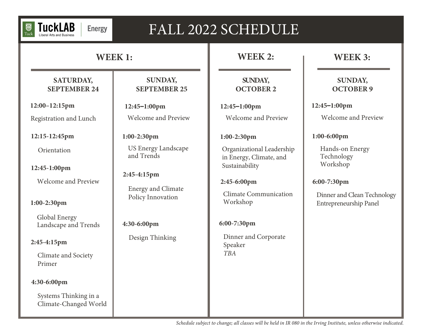

# FALL 2022 SCHEDULE

# **WEEK 1:**

# **SATURDAY, SEPTEMBER 24**

**12:00–12:15pm**

Registration and Lunch

**12:15-12:45pm**

**Orientation** 

**12:45-1:00pm**

Welcome and Preview

**1:00-2:30pm**

Global Energy Landscape and Trends

### **2:45-4:15pm**

Climate and Society Primer

#### **4:30-6:00pm**

Systems Thinking in a Climate-Changed World

## **SUNDAY, SEPTEMBER 25**

**12:45–1:00pm** Welcome and Preview

# **1:00-2:30pm**

US Energy Landscape and Trends

# **2:45-4:15pm**

Energy and Climate Policy Innovation

# **4:30-6:00pm**

Design Thinking

# **WEEK 2:**

# **SUNDAY, OCTOBER 2**

**12:45–1:00pm** Welcome and Preview

### **1:00-2:30pm**

Organizational Leadership in Energy, Climate, and Sustainability

## **2:45-6:00pm**

Climate Communication Workshop

# **6:00-7:30pm**

Dinner and Corporate Speaker *TBA*

# **WEEK 3:**

# **SUNDAY, OCTOBER 9**

**12:45–1:00pm**

Welcome and Preview

## **1:00-6:00pm**

Hands-on Energy Technology Workshop

## **6:00-7:30pm**

Dinner and Clean Technology Entrepreneurship Panel

*Schedule subject to change; all classes will be held in IR 080 in the Irving Institute, unless otherwise indicated.*